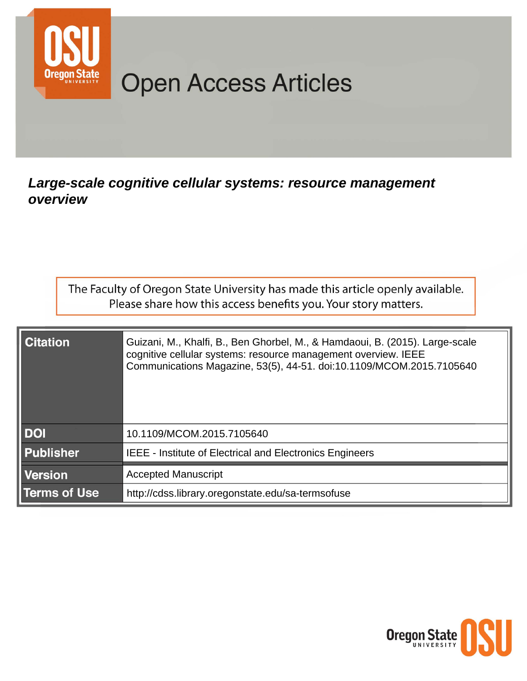

# **Open Access Articles**

# Large-scale cognitive cellular systems: resource management overview

| The Faculty of Oregon State University has made this article openly available. |  |
|--------------------------------------------------------------------------------|--|
| Please share how this access benefits you. Your story matters.                 |  |

| <b>Citation</b>     | Guizani, M., Khalfi, B., Ben Ghorbel, M., & Hamdaoui, B. (2015). Large-scale<br>cognitive cellular systems: resource management overview. IEEE<br>Communications Magazine, 53(5), 44-51. doi:10.1109/MCOM.2015.7105640 |
|---------------------|------------------------------------------------------------------------------------------------------------------------------------------------------------------------------------------------------------------------|
| <b>DOI</b>          | 10.1109/MCOM.2015.7105640                                                                                                                                                                                              |
| <b>Publisher</b>    | <b>IEEE - Institute of Electrical and Electronics Engineers</b>                                                                                                                                                        |
| <b>Version</b>      | <b>Accepted Manuscript</b>                                                                                                                                                                                             |
| <b>Terms of Use</b> | http://cdss.library.oregonstate.edu/sa-termsofuse                                                                                                                                                                      |

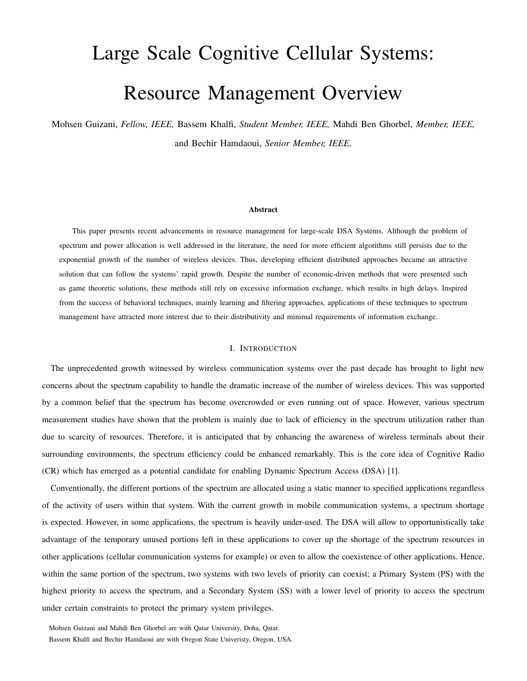# Large Scale Cognitive Cellular Systems: Resource Management Overview

Mohsen Guizani, *Fellow, IEEE,* Bassem Khalfi, *Student Member, IEEE,* Mahdi Ben Ghorbel, *Member, IEEE,* and Bechir Hamdaoui, *Senior Member, IEEE,*

#### Abstract

This paper presents recent advancements in resource management for large-scale DSA Systems. Although the problem of spectrum and power allocation is well addressed in the literature, the need for more efficient algorithms still persists due to the exponential growth of the number of wireless devices. Thus, developing efficient distributed approaches became an attractive solution that can follow the systems' rapid growth. Despite the number of economic-driven methods that were presented such as game theoretic solutions, these methods still rely on excessive information exchange, which results in high delays. Inspired from the success of behavioral techniques, mainly learning and filtering approaches, applications of these techniques to spectrum management have attracted more interest due to their distributivity and minimal requirements of information exchange.

#### I. INTRODUCTION

The unprecedented growth witnessed by wireless communication systems over the past decade has brought to light new concerns about the spectrum capability to handle the dramatic increase of the number of wireless devices. This was supported by a common belief that the spectrum has become overcrowded or even running out of space. However, various spectrum measurement studies have shown that the problem is mainly due to lack of efficiency in the spectrum utilization rather than due to scarcity of resources. Therefore, it is anticipated that by enhancing the awareness of wireless terminals about their surrounding environments, the spectrum efficiency could be enhanced remarkably. This is the core idea of Cognitive Radio (CR) which has emerged as a potential candidate for enabling Dynamic Spectrum Access (DSA) [1].

Conventionally, the different portions of the spectrum are allocated using a static manner to specified applications regardless of the activity of users within that system. With the current growth in mobile communication systems, a spectrum shortage is expected. However, in some applications, the spectrum is heavily under-used. The DSA will allow to opportunistically take advantage of the temporary unused portions left in these applications to cover up the shortage of the spectrum resources in other applications (cellular communication systems for example) or even to allow the coexistence of other applications. Hence, within the same portion of the spectrum, two systems with two levels of priority can coexist; a Primary System (PS) with the highest priority to access the spectrum, and a Secondary System (SS) with a lower level of priority to access the spectrum under certain constraints to protect the primary system privileges.

Mohsen Guizani and Mahdi Ben Ghorbel are with Qatar University, Doha, Qatar. Bassem Khalfi and Bechir Hamdaoui are with Oregon State Univeristy, Oregon, USA.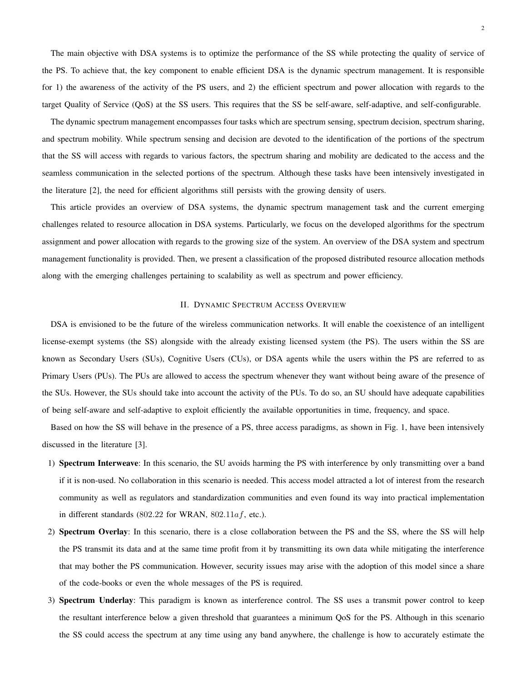The main objective with DSA systems is to optimize the performance of the SS while protecting the quality of service of the PS. To achieve that, the key component to enable efficient DSA is the dynamic spectrum management. It is responsible for 1) the awareness of the activity of the PS users, and 2) the efficient spectrum and power allocation with regards to the target Quality of Service (QoS) at the SS users. This requires that the SS be self-aware, self-adaptive, and self-configurable.

The dynamic spectrum management encompasses four tasks which are spectrum sensing, spectrum decision, spectrum sharing, and spectrum mobility. While spectrum sensing and decision are devoted to the identification of the portions of the spectrum that the SS will access with regards to various factors, the spectrum sharing and mobility are dedicated to the access and the seamless communication in the selected portions of the spectrum. Although these tasks have been intensively investigated in the literature [2], the need for efficient algorithms still persists with the growing density of users.

This article provides an overview of DSA systems, the dynamic spectrum management task and the current emerging challenges related to resource allocation in DSA systems. Particularly, we focus on the developed algorithms for the spectrum assignment and power allocation with regards to the growing size of the system. An overview of the DSA system and spectrum management functionality is provided. Then, we present a classification of the proposed distributed resource allocation methods along with the emerging challenges pertaining to scalability as well as spectrum and power efficiency.

## II. DYNAMIC SPECTRUM ACCESS OVERVIEW

DSA is envisioned to be the future of the wireless communication networks. It will enable the coexistence of an intelligent license-exempt systems (the SS) alongside with the already existing licensed system (the PS). The users within the SS are known as Secondary Users (SUs), Cognitive Users (CUs), or DSA agents while the users within the PS are referred to as Primary Users (PUs). The PUs are allowed to access the spectrum whenever they want without being aware of the presence of the SUs. However, the SUs should take into account the activity of the PUs. To do so, an SU should have adequate capabilities of being self-aware and self-adaptive to exploit efficiently the available opportunities in time, frequency, and space.

Based on how the SS will behave in the presence of a PS, three access paradigms, as shown in Fig. 1, have been intensively discussed in the literature [3].

- 1) Spectrum Interweave: In this scenario, the SU avoids harming the PS with interference by only transmitting over a band if it is non-used. No collaboration in this scenario is needed. This access model attracted a lot of interest from the research community as well as regulators and standardization communities and even found its way into practical implementation in different standards (802.22 for WRAN, 802.11 $af$ , etc.).
- 2) Spectrum Overlay: In this scenario, there is a close collaboration between the PS and the SS, where the SS will help the PS transmit its data and at the same time profit from it by transmitting its own data while mitigating the interference that may bother the PS communication. However, security issues may arise with the adoption of this model since a share of the code-books or even the whole messages of the PS is required.
- 3) Spectrum Underlay: This paradigm is known as interference control. The SS uses a transmit power control to keep the resultant interference below a given threshold that guarantees a minimum QoS for the PS. Although in this scenario the SS could access the spectrum at any time using any band anywhere, the challenge is how to accurately estimate the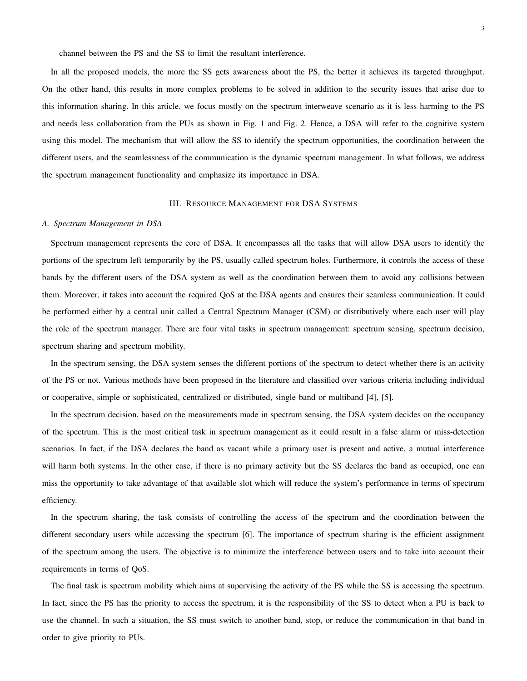channel between the PS and the SS to limit the resultant interference.

In all the proposed models, the more the SS gets awareness about the PS, the better it achieves its targeted throughput. On the other hand, this results in more complex problems to be solved in addition to the security issues that arise due to this information sharing. In this article, we focus mostly on the spectrum interweave scenario as it is less harming to the PS and needs less collaboration from the PUs as shown in Fig. 1 and Fig. 2. Hence, a DSA will refer to the cognitive system using this model. The mechanism that will allow the SS to identify the spectrum opportunities, the coordination between the different users, and the seamlessness of the communication is the dynamic spectrum management. In what follows, we address the spectrum management functionality and emphasize its importance in DSA.

### III. RESOURCE MANAGEMENT FOR DSA SYSTEMS

#### *A. Spectrum Management in DSA*

Spectrum management represents the core of DSA. It encompasses all the tasks that will allow DSA users to identify the portions of the spectrum left temporarily by the PS, usually called spectrum holes. Furthermore, it controls the access of these bands by the different users of the DSA system as well as the coordination between them to avoid any collisions between them. Moreover, it takes into account the required QoS at the DSA agents and ensures their seamless communication. It could be performed either by a central unit called a Central Spectrum Manager (CSM) or distributively where each user will play the role of the spectrum manager. There are four vital tasks in spectrum management: spectrum sensing, spectrum decision, spectrum sharing and spectrum mobility.

In the spectrum sensing, the DSA system senses the different portions of the spectrum to detect whether there is an activity of the PS or not. Various methods have been proposed in the literature and classified over various criteria including individual or cooperative, simple or sophisticated, centralized or distributed, single band or multiband [4], [5].

In the spectrum decision, based on the measurements made in spectrum sensing, the DSA system decides on the occupancy of the spectrum. This is the most critical task in spectrum management as it could result in a false alarm or miss-detection scenarios. In fact, if the DSA declares the band as vacant while a primary user is present and active, a mutual interference will harm both systems. In the other case, if there is no primary activity but the SS declares the band as occupied, one can miss the opportunity to take advantage of that available slot which will reduce the system's performance in terms of spectrum efficiency.

In the spectrum sharing, the task consists of controlling the access of the spectrum and the coordination between the different secondary users while accessing the spectrum [6]. The importance of spectrum sharing is the efficient assignment of the spectrum among the users. The objective is to minimize the interference between users and to take into account their requirements in terms of QoS.

The final task is spectrum mobility which aims at supervising the activity of the PS while the SS is accessing the spectrum. In fact, since the PS has the priority to access the spectrum, it is the responsibility of the SS to detect when a PU is back to use the channel. In such a situation, the SS must switch to another band, stop, or reduce the communication in that band in order to give priority to PUs.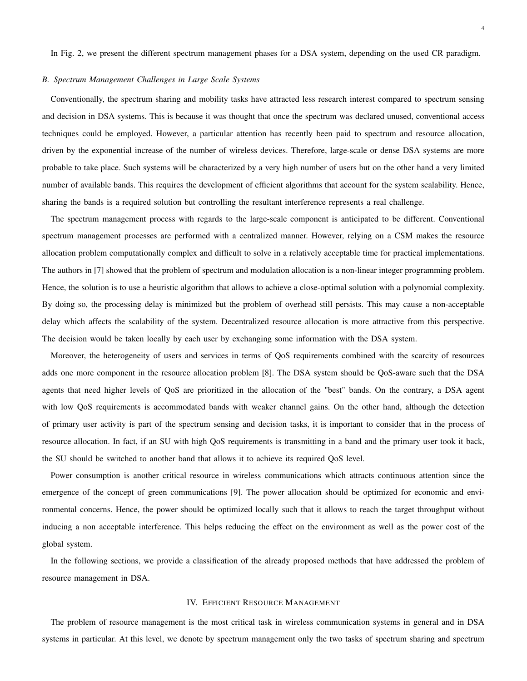In Fig. 2, we present the different spectrum management phases for a DSA system, depending on the used CR paradigm.

# *B. Spectrum Management Challenges in Large Scale Systems*

Conventionally, the spectrum sharing and mobility tasks have attracted less research interest compared to spectrum sensing and decision in DSA systems. This is because it was thought that once the spectrum was declared unused, conventional access techniques could be employed. However, a particular attention has recently been paid to spectrum and resource allocation, driven by the exponential increase of the number of wireless devices. Therefore, large-scale or dense DSA systems are more probable to take place. Such systems will be characterized by a very high number of users but on the other hand a very limited number of available bands. This requires the development of efficient algorithms that account for the system scalability. Hence, sharing the bands is a required solution but controlling the resultant interference represents a real challenge.

The spectrum management process with regards to the large-scale component is anticipated to be different. Conventional spectrum management processes are performed with a centralized manner. However, relying on a CSM makes the resource allocation problem computationally complex and difficult to solve in a relatively acceptable time for practical implementations. The authors in [7] showed that the problem of spectrum and modulation allocation is a non-linear integer programming problem. Hence, the solution is to use a heuristic algorithm that allows to achieve a close-optimal solution with a polynomial complexity. By doing so, the processing delay is minimized but the problem of overhead still persists. This may cause a non-acceptable delay which affects the scalability of the system. Decentralized resource allocation is more attractive from this perspective. The decision would be taken locally by each user by exchanging some information with the DSA system.

Moreover, the heterogeneity of users and services in terms of QoS requirements combined with the scarcity of resources adds one more component in the resource allocation problem [8]. The DSA system should be QoS-aware such that the DSA agents that need higher levels of QoS are prioritized in the allocation of the "best" bands. On the contrary, a DSA agent with low QoS requirements is accommodated bands with weaker channel gains. On the other hand, although the detection of primary user activity is part of the spectrum sensing and decision tasks, it is important to consider that in the process of resource allocation. In fact, if an SU with high QoS requirements is transmitting in a band and the primary user took it back, the SU should be switched to another band that allows it to achieve its required QoS level.

Power consumption is another critical resource in wireless communications which attracts continuous attention since the emergence of the concept of green communications [9]. The power allocation should be optimized for economic and environmental concerns. Hence, the power should be optimized locally such that it allows to reach the target throughput without inducing a non acceptable interference. This helps reducing the effect on the environment as well as the power cost of the global system.

In the following sections, we provide a classification of the already proposed methods that have addressed the problem of resource management in DSA.

#### IV. EFFICIENT RESOURCE MANAGEMENT

The problem of resource management is the most critical task in wireless communication systems in general and in DSA systems in particular. At this level, we denote by spectrum management only the two tasks of spectrum sharing and spectrum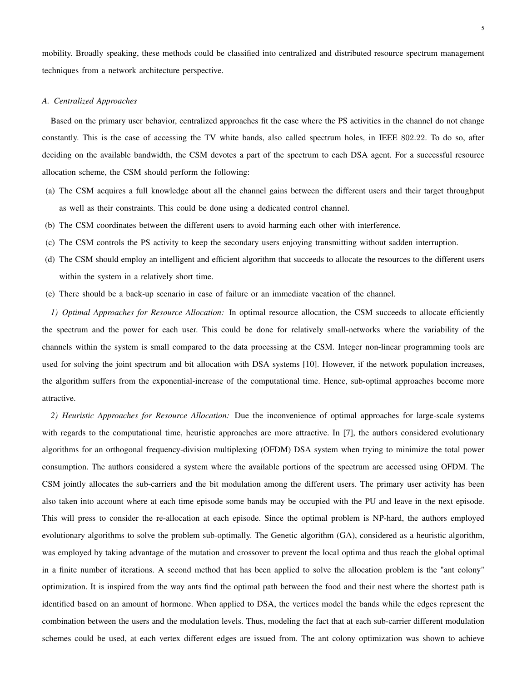mobility. Broadly speaking, these methods could be classified into centralized and distributed resource spectrum management techniques from a network architecture perspective.

#### *A. Centralized Approaches*

Based on the primary user behavior, centralized approaches fit the case where the PS activities in the channel do not change constantly. This is the case of accessing the TV white bands, also called spectrum holes, in IEEE 802.22. To do so, after deciding on the available bandwidth, the CSM devotes a part of the spectrum to each DSA agent. For a successful resource allocation scheme, the CSM should perform the following:

- (a) The CSM acquires a full knowledge about all the channel gains between the different users and their target throughput as well as their constraints. This could be done using a dedicated control channel.
- (b) The CSM coordinates between the different users to avoid harming each other with interference.
- (c) The CSM controls the PS activity to keep the secondary users enjoying transmitting without sadden interruption.
- (d) The CSM should employ an intelligent and efficient algorithm that succeeds to allocate the resources to the different users within the system in a relatively short time.
- (e) There should be a back-up scenario in case of failure or an immediate vacation of the channel.

*1) Optimal Approaches for Resource Allocation:* In optimal resource allocation, the CSM succeeds to allocate efficiently the spectrum and the power for each user. This could be done for relatively small-networks where the variability of the channels within the system is small compared to the data processing at the CSM. Integer non-linear programming tools are used for solving the joint spectrum and bit allocation with DSA systems [10]. However, if the network population increases, the algorithm suffers from the exponential-increase of the computational time. Hence, sub-optimal approaches become more attractive.

*2) Heuristic Approaches for Resource Allocation:* Due the inconvenience of optimal approaches for large-scale systems with regards to the computational time, heuristic approaches are more attractive. In [7], the authors considered evolutionary algorithms for an orthogonal frequency-division multiplexing (OFDM) DSA system when trying to minimize the total power consumption. The authors considered a system where the available portions of the spectrum are accessed using OFDM. The CSM jointly allocates the sub-carriers and the bit modulation among the different users. The primary user activity has been also taken into account where at each time episode some bands may be occupied with the PU and leave in the next episode. This will press to consider the re-allocation at each episode. Since the optimal problem is NP-hard, the authors employed evolutionary algorithms to solve the problem sub-optimally. The Genetic algorithm (GA), considered as a heuristic algorithm, was employed by taking advantage of the mutation and crossover to prevent the local optima and thus reach the global optimal in a finite number of iterations. A second method that has been applied to solve the allocation problem is the "ant colony" optimization. It is inspired from the way ants find the optimal path between the food and their nest where the shortest path is identified based on an amount of hormone. When applied to DSA, the vertices model the bands while the edges represent the combination between the users and the modulation levels. Thus, modeling the fact that at each sub-carrier different modulation schemes could be used, at each vertex different edges are issued from. The ant colony optimization was shown to achieve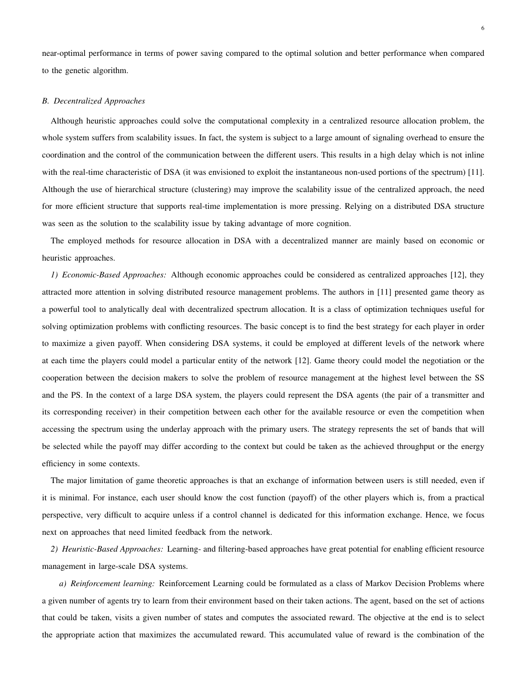near-optimal performance in terms of power saving compared to the optimal solution and better performance when compared to the genetic algorithm.

#### *B. Decentralized Approaches*

Although heuristic approaches could solve the computational complexity in a centralized resource allocation problem, the whole system suffers from scalability issues. In fact, the system is subject to a large amount of signaling overhead to ensure the coordination and the control of the communication between the different users. This results in a high delay which is not inline with the real-time characteristic of DSA (it was envisioned to exploit the instantaneous non-used portions of the spectrum) [11]. Although the use of hierarchical structure (clustering) may improve the scalability issue of the centralized approach, the need for more efficient structure that supports real-time implementation is more pressing. Relying on a distributed DSA structure was seen as the solution to the scalability issue by taking advantage of more cognition.

The employed methods for resource allocation in DSA with a decentralized manner are mainly based on economic or heuristic approaches.

*1) Economic-Based Approaches:* Although economic approaches could be considered as centralized approaches [12], they attracted more attention in solving distributed resource management problems. The authors in [11] presented game theory as a powerful tool to analytically deal with decentralized spectrum allocation. It is a class of optimization techniques useful for solving optimization problems with conflicting resources. The basic concept is to find the best strategy for each player in order to maximize a given payoff. When considering DSA systems, it could be employed at different levels of the network where at each time the players could model a particular entity of the network [12]. Game theory could model the negotiation or the cooperation between the decision makers to solve the problem of resource management at the highest level between the SS and the PS. In the context of a large DSA system, the players could represent the DSA agents (the pair of a transmitter and its corresponding receiver) in their competition between each other for the available resource or even the competition when accessing the spectrum using the underlay approach with the primary users. The strategy represents the set of bands that will be selected while the payoff may differ according to the context but could be taken as the achieved throughput or the energy efficiency in some contexts.

The major limitation of game theoretic approaches is that an exchange of information between users is still needed, even if it is minimal. For instance, each user should know the cost function (payoff) of the other players which is, from a practical perspective, very difficult to acquire unless if a control channel is dedicated for this information exchange. Hence, we focus next on approaches that need limited feedback from the network.

*2) Heuristic-Based Approaches:* Learning- and filtering-based approaches have great potential for enabling efficient resource management in large-scale DSA systems.

*a) Reinforcement learning:* Reinforcement Learning could be formulated as a class of Markov Decision Problems where a given number of agents try to learn from their environment based on their taken actions. The agent, based on the set of actions that could be taken, visits a given number of states and computes the associated reward. The objective at the end is to select the appropriate action that maximizes the accumulated reward. This accumulated value of reward is the combination of the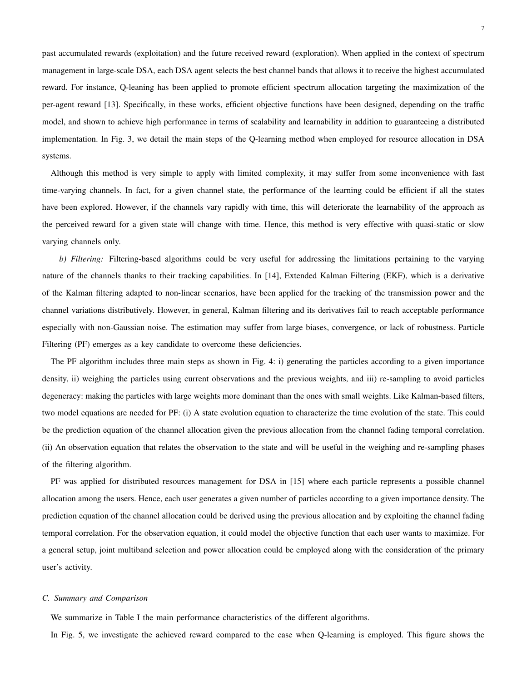past accumulated rewards (exploitation) and the future received reward (exploration). When applied in the context of spectrum management in large-scale DSA, each DSA agent selects the best channel bands that allows it to receive the highest accumulated reward. For instance, Q-leaning has been applied to promote efficient spectrum allocation targeting the maximization of the per-agent reward [13]. Specifically, in these works, efficient objective functions have been designed, depending on the traffic model, and shown to achieve high performance in terms of scalability and learnability in addition to guaranteeing a distributed implementation. In Fig. 3, we detail the main steps of the Q-learning method when employed for resource allocation in DSA systems.

Although this method is very simple to apply with limited complexity, it may suffer from some inconvenience with fast time-varying channels. In fact, for a given channel state, the performance of the learning could be efficient if all the states have been explored. However, if the channels vary rapidly with time, this will deteriorate the learnability of the approach as the perceived reward for a given state will change with time. Hence, this method is very effective with quasi-static or slow varying channels only.

*b) Filtering:* Filtering-based algorithms could be very useful for addressing the limitations pertaining to the varying nature of the channels thanks to their tracking capabilities. In [14], Extended Kalman Filtering (EKF), which is a derivative of the Kalman filtering adapted to non-linear scenarios, have been applied for the tracking of the transmission power and the channel variations distributively. However, in general, Kalman filtering and its derivatives fail to reach acceptable performance especially with non-Gaussian noise. The estimation may suffer from large biases, convergence, or lack of robustness. Particle Filtering (PF) emerges as a key candidate to overcome these deficiencies.

The PF algorithm includes three main steps as shown in Fig. 4: i) generating the particles according to a given importance density, ii) weighing the particles using current observations and the previous weights, and iii) re-sampling to avoid particles degeneracy: making the particles with large weights more dominant than the ones with small weights. Like Kalman-based filters, two model equations are needed for PF: (i) A state evolution equation to characterize the time evolution of the state. This could be the prediction equation of the channel allocation given the previous allocation from the channel fading temporal correlation. (ii) An observation equation that relates the observation to the state and will be useful in the weighing and re-sampling phases of the filtering algorithm.

PF was applied for distributed resources management for DSA in [15] where each particle represents a possible channel allocation among the users. Hence, each user generates a given number of particles according to a given importance density. The prediction equation of the channel allocation could be derived using the previous allocation and by exploiting the channel fading temporal correlation. For the observation equation, it could model the objective function that each user wants to maximize. For a general setup, joint multiband selection and power allocation could be employed along with the consideration of the primary user's activity.

# *C. Summary and Comparison*

We summarize in Table I the main performance characteristics of the different algorithms.

In Fig. 5, we investigate the achieved reward compared to the case when Q-learning is employed. This figure shows the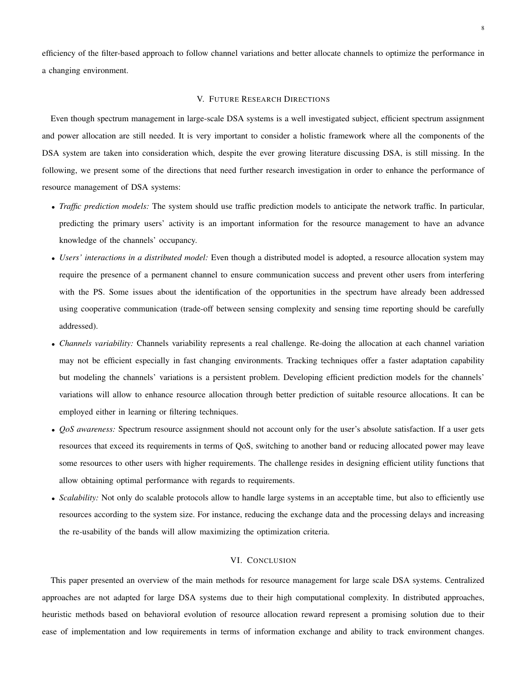efficiency of the filter-based approach to follow channel variations and better allocate channels to optimize the performance in a changing environment.

#### V. FUTURE RESEARCH DIRECTIONS

Even though spectrum management in large-scale DSA systems is a well investigated subject, efficient spectrum assignment and power allocation are still needed. It is very important to consider a holistic framework where all the components of the DSA system are taken into consideration which, despite the ever growing literature discussing DSA, is still missing. In the following, we present some of the directions that need further research investigation in order to enhance the performance of resource management of DSA systems:

- *Traffic prediction models:* The system should use traffic prediction models to anticipate the network traffic. In particular, predicting the primary users' activity is an important information for the resource management to have an advance knowledge of the channels' occupancy.
- *Users' interactions in a distributed model:* Even though a distributed model is adopted, a resource allocation system may require the presence of a permanent channel to ensure communication success and prevent other users from interfering with the PS. Some issues about the identification of the opportunities in the spectrum have already been addressed using cooperative communication (trade-off between sensing complexity and sensing time reporting should be carefully addressed).
- *Channels variability:* Channels variability represents a real challenge. Re-doing the allocation at each channel variation may not be efficient especially in fast changing environments. Tracking techniques offer a faster adaptation capability but modeling the channels' variations is a persistent problem. Developing efficient prediction models for the channels' variations will allow to enhance resource allocation through better prediction of suitable resource allocations. It can be employed either in learning or filtering techniques.
- *QoS awareness:* Spectrum resource assignment should not account only for the user's absolute satisfaction. If a user gets resources that exceed its requirements in terms of QoS, switching to another band or reducing allocated power may leave some resources to other users with higher requirements. The challenge resides in designing efficient utility functions that allow obtaining optimal performance with regards to requirements.
- *Scalability:* Not only do scalable protocols allow to handle large systems in an acceptable time, but also to efficiently use resources according to the system size. For instance, reducing the exchange data and the processing delays and increasing the re-usability of the bands will allow maximizing the optimization criteria.

## VI. CONCLUSION

This paper presented an overview of the main methods for resource management for large scale DSA systems. Centralized approaches are not adapted for large DSA systems due to their high computational complexity. In distributed approaches, heuristic methods based on behavioral evolution of resource allocation reward represent a promising solution due to their ease of implementation and low requirements in terms of information exchange and ability to track environment changes.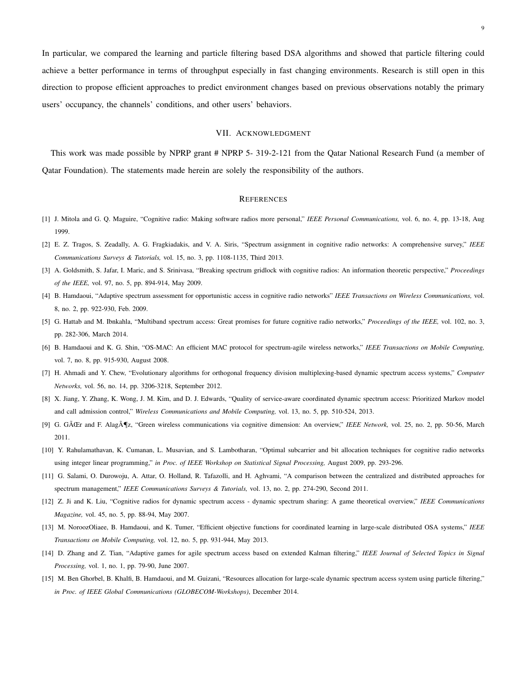In particular, we compared the learning and particle filtering based DSA algorithms and showed that particle filtering could achieve a better performance in terms of throughput especially in fast changing environments. Research is still open in this direction to propose efficient approaches to predict environment changes based on previous observations notably the primary users' occupancy, the channels' conditions, and other users' behaviors.

#### VII. ACKNOWLEDGMENT

This work was made possible by NPRP grant # NPRP 5- 319-2-121 from the Qatar National Research Fund (a member of Qatar Foundation). The statements made herein are solely the responsibility of the authors.

#### **REFERENCES**

- [1] J. Mitola and G. Q. Maguire, "Cognitive radio: Making software radios more personal," *IEEE Personal Communications,* vol. 6, no. 4, pp. 13-18, Aug 1999.
- [2] E. Z. Tragos, S. Zeadally, A. G. Fragkiadakis, and V. A. Siris, "Spectrum assignment in cognitive radio networks: A comprehensive survey," *IEEE Communications Surveys & Tutorials,* vol. 15, no. 3, pp. 1108-1135, Third 2013.
- [3] A. Goldsmith, S. Jafar, I. Maric, and S. Srinivasa, "Breaking spectrum gridlock with cognitive radios: An information theoretic perspective," *Proceedings of the IEEE,* vol. 97, no. 5, pp. 894-914, May 2009.
- [4] B. Hamdaoui, "Adaptive spectrum assessment for opportunistic access in cognitive radio networks" *IEEE Transactions on Wireless Communications,* vol. 8, no. 2, pp. 922-930, Feb. 2009.
- [5] G. Hattab and M. Ibnkahla, "Multiband spectrum access: Great promises for future cognitive radio networks," *Proceedings of the IEEE,* vol. 102, no. 3, pp. 282-306, March 2014.
- [6] B. Hamdaoui and K. G. Shin, "OS-MAC: An efficient MAC protocol for spectrum-agile wireless networks," *IEEE Transactions on Mobile Computing,* vol. 7, no. 8, pp. 915-930, August 2008.
- [7] H. Ahmadi and Y. Chew, "Evolutionary algorithms for orthogonal frequency division multiplexing-based dynamic spectrum access systems," *Computer Networks,* vol. 56, no. 14, pp. 3206-3218, September 2012.
- [8] X. Jiang, Y. Zhang, K. Wong, J. M. Kim, and D. J. Edwards, "Quality of service-aware coordinated dynamic spectrum access: Prioritized Markov model and call admission control," *Wireless Communications and Mobile Computing,* vol. 13, no. 5, pp. 510-524, 2013.
- [9] G. GÃŒr and F. AlagÃ¶z, "Green wireless communications via cognitive dimension: An overview," *IEEE Network,* vol. 25, no. 2, pp. 50-56, March 2011.
- [10] Y. Rahulamathavan, K. Cumanan, L. Musavian, and S. Lambotharan, "Optimal subcarrier and bit allocation techniques for cognitive radio networks using integer linear programming," *in Proc. of IEEE Workshop on Statistical Signal Processing,* August 2009, pp. 293-296.
- [11] G. Salami, O. Durowoju, A. Attar, O. Holland, R. Tafazolli, and H. Aghvami, "A comparison between the centralized and distributed approaches for spectrum management," *IEEE Communications Surveys & Tutorials,* vol. 13, no. 2, pp. 274-290, Second 2011.
- [12] Z. Ji and K. Liu, "Cognitive radios for dynamic spectrum access dynamic spectrum sharing: A game theoretical overview," *IEEE Communications Magazine,* vol. 45, no. 5, pp. 88-94, May 2007.
- [13] M. NoroozOliaee, B. Hamdaoui, and K. Tumer, "Efficient objective functions for coordinated learning in large-scale distributed OSA systems," *IEEE Transactions on Mobile Computing,* vol. 12, no. 5, pp. 931-944, May 2013.
- [14] D. Zhang and Z. Tian, "Adaptive games for agile spectrum access based on extended Kalman filtering," *IEEE Journal of Selected Topics in Signal Processing,* vol. 1, no. 1, pp. 79-90, June 2007.
- [15] M. Ben Ghorbel, B. Khalfi, B. Hamdaoui, and M. Guizani, "Resources allocation for large-scale dynamic spectrum access system using particle filtering," *in Proc. of IEEE Global Communications (GLOBECOM-Workshops)*, December 2014.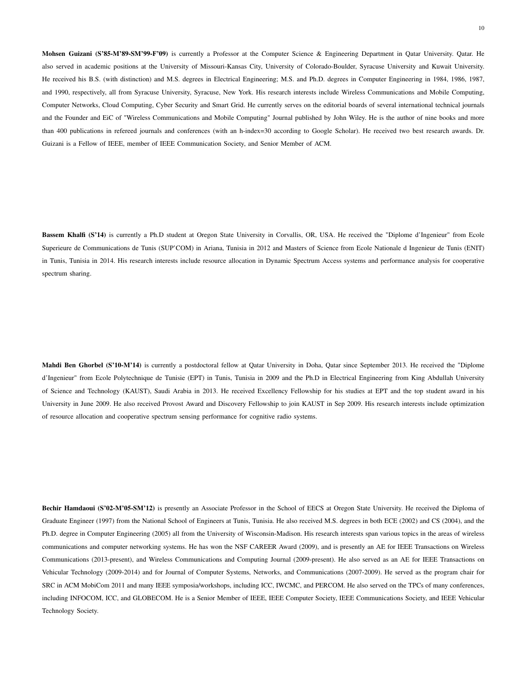Mohsen Guizani (S'85-M'89-SM'99-F'09) is currently a Professor at the Computer Science & Engineering Department in Qatar University. Qatar. He also served in academic positions at the University of Missouri-Kansas City, University of Colorado-Boulder, Syracuse University and Kuwait University. He received his B.S. (with distinction) and M.S. degrees in Electrical Engineering; M.S. and Ph.D. degrees in Computer Engineering in 1984, 1986, 1987, and 1990, respectively, all from Syracuse University, Syracuse, New York. His research interests include Wireless Communications and Mobile Computing, Computer Networks, Cloud Computing, Cyber Security and Smart Grid. He currently serves on the editorial boards of several international technical journals and the Founder and EiC of "Wireless Communications and Mobile Computing" Journal published by John Wiley. He is the author of nine books and more than 400 publications in refereed journals and conferences (with an h-index=30 according to Google Scholar). He received two best research awards. Dr. Guizani is a Fellow of IEEE, member of IEEE Communication Society, and Senior Member of ACM.

Bassem Khalfi (S'14) is currently a Ph.D student at Oregon State University in Corvallis, OR, USA. He received the "Diplome d'Ingenieur" from Ecole Superieure de Communications de Tunis (SUP'COM) in Ariana, Tunisia in 2012 and Masters of Science from Ecole Nationale d Ingenieur de Tunis (ENIT) in Tunis, Tunisia in 2014. His research interests include resource allocation in Dynamic Spectrum Access systems and performance analysis for cooperative spectrum sharing.

Mahdi Ben Ghorbel (S'10-M'14) is currently a postdoctoral fellow at Qatar University in Doha, Qatar since September 2013. He received the "Diplome d'Ingenieur" from Ecole Polytechnique de Tunisie (EPT) in Tunis, Tunisia in 2009 and the Ph.D in Electrical Engineering from King Abdullah University of Science and Technology (KAUST), Saudi Arabia in 2013. He received Excellency Fellowship for his studies at EPT and the top student award in his University in June 2009. He also received Provost Award and Discovery Fellowship to join KAUST in Sep 2009. His research interests include optimization of resource allocation and cooperative spectrum sensing performance for cognitive radio systems.

Bechir Hamdaoui (S'02-M'05-SM'12) is presently an Associate Professor in the School of EECS at Oregon State University. He received the Diploma of Graduate Engineer (1997) from the National School of Engineers at Tunis, Tunisia. He also received M.S. degrees in both ECE (2002) and CS (2004), and the Ph.D. degree in Computer Engineering (2005) all from the University of Wisconsin-Madison. His research interests span various topics in the areas of wireless communications and computer networking systems. He has won the NSF CAREER Award (2009), and is presently an AE for IEEE Transactions on Wireless Communications (2013-present), and Wireless Communications and Computing Journal (2009-present). He also served as an AE for IEEE Transactions on Vehicular Technology (2009-2014) and for Journal of Computer Systems, Networks, and Communications (2007-2009). He served as the program chair for SRC in ACM MobiCom 2011 and many IEEE symposia/workshops, including ICC, IWCMC, and PERCOM. He also served on the TPCs of many conferences, including INFOCOM, ICC, and GLOBECOM. He is a Senior Member of IEEE, IEEE Computer Society, IEEE Communications Society, and IEEE Vehicular Technology Society.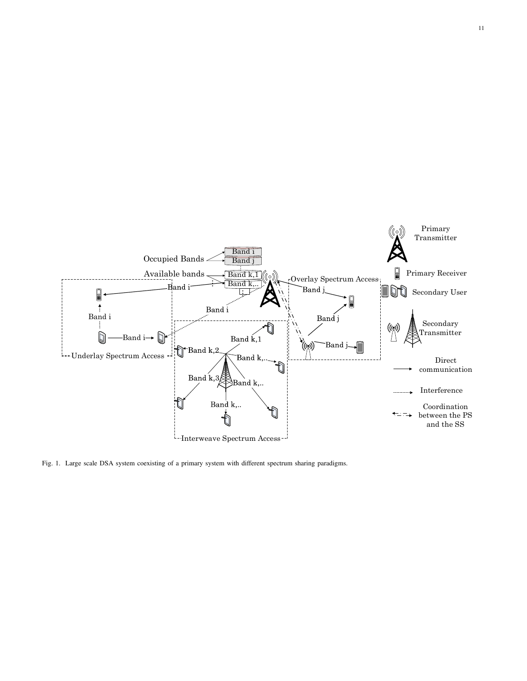

Fig. 1. Large scale DSA system coexisting of a primary system with different spectrum sharing paradigms.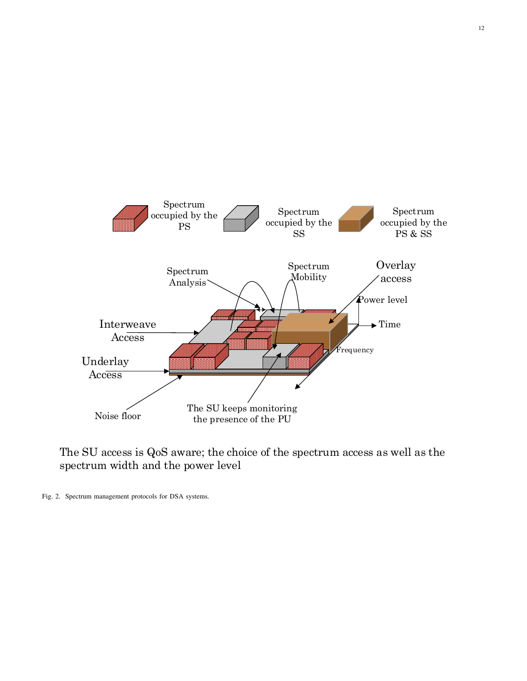

The SU access is QoS aware; the choice of the spectrum access as well as the spectrum width and the power level

Fig. 2. Spectrum management protocols for DSA systems.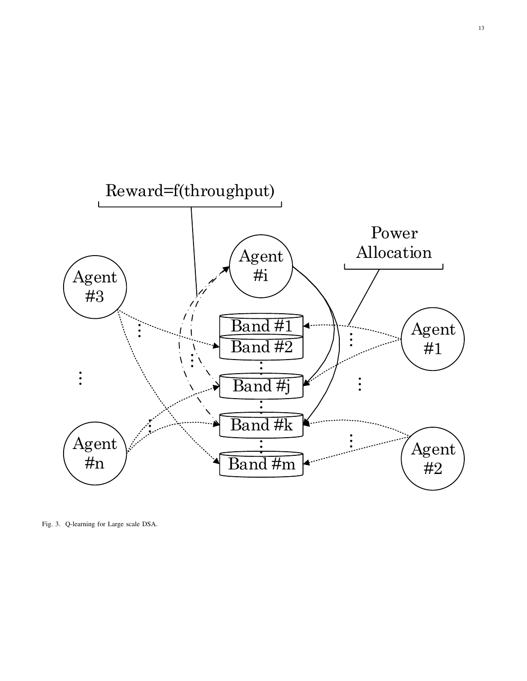

Fig. 3. Q-learning for Large scale DSA.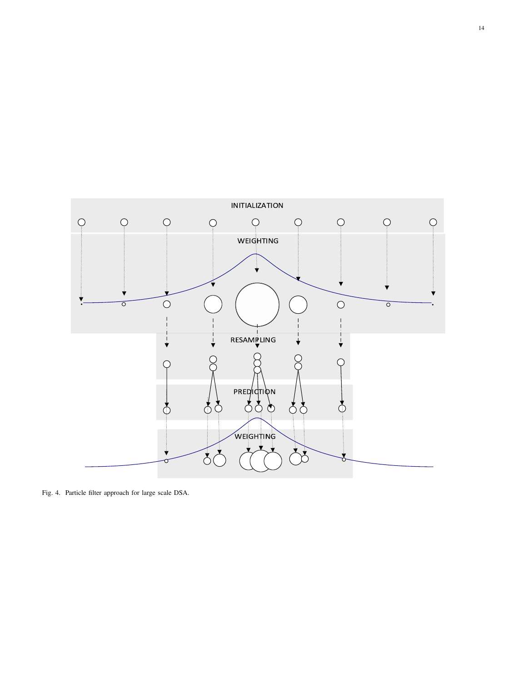

Fig. 4. Particle filter approach for large scale DSA.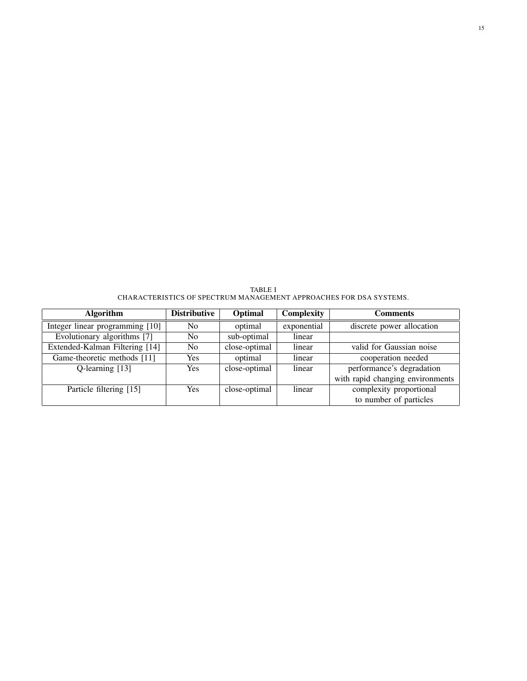TABLE I CHARACTERISTICS OF SPECTRUM MANAGEMENT APPROACHES FOR DSA SYSTEMS.

| <b>Algorithm</b>                | <b>Distributive</b> | Optimal       | Complexity  | <b>Comments</b>                  |
|---------------------------------|---------------------|---------------|-------------|----------------------------------|
| Integer linear programming [10] | N <sub>0</sub>      | optimal       | exponential | discrete power allocation        |
| Evolutionary algorithms [7]     | No.                 | sub-optimal   | linear      |                                  |
| Extended-Kalman Filtering [14]  | No.                 | close-optimal | linear      | valid for Gaussian noise         |
| Game-theoretic methods [11]     | Yes                 | optimal       | linear      | cooperation needed               |
| Q-learning [13]                 | Yes                 | close-optimal | linear      | performance's degradation        |
|                                 |                     |               |             | with rapid changing environments |
| Particle filtering [15]         | Yes                 | close-optimal | linear      | complexity proportional          |
|                                 |                     |               |             | to number of particles           |